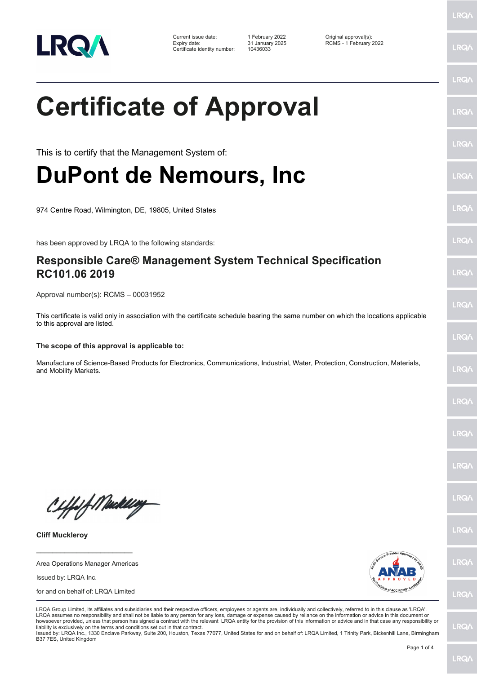

Current issue date: 1 February 2022 Original approval(s): Expiry date: 31 January 2025 RCMS - 1 February 2022 Certificate identity number: 10436033

**Certificate of Approval**

This is to certify that the Management System of:

## **DuPont de Nemours, Inc**

974 Centre Road, Wilmington, DE, 19805, United States

has been approved by LRQA to the following standards:

## **Responsible Care® Management System Technical Specification RC101.06 2019**

Approval number(s): RCMS – 00031952

This certificate is valid only in association with the certificate schedule bearing the same number on which the locations applicable to this approval are listed.

## **The scope of this approval is applicable to:**

Manufacture of Science-Based Products for Electronics, Communications, Industrial, Water, Protection, Construction, Materials, and Mobility Markets.

Ciffsf Meddley

**Cliff Muckleroy**

**\_\_\_\_\_\_\_\_\_\_\_\_\_\_\_\_\_\_\_\_\_\_\_\_** Area Operations Manager Americas

Issued by: LRQA Inc.

for and on behalf of: LRQA Limited



LRQA Group Limited, its affiliates and subsidiaries and their respective officers, employees or agents are, individually and collectively, referred to in this clause as 'LRQA'.

LRQA assumes no responsibility and shall not be liable to any person for any loss, damage or expense caused by reliance on the information or advice in this document or howsoever provided, unless that person has signed a contract with the relevant LRQA entity for the provision of this information or advice and in that case any responsibility or liability is exclusively on the terms and conditions set out in that contract.

Issued by: LRQA Inc., 1330 Enclave Parkway, Suite 200, Houston, Texas 77077, United States for and on behalf of: LRQA Limited, 1 Trinity Park, Bickenhill Lane, Birmingham B37 7ES, United Kingdom

LRQ/

LRQ/

LRQ/

LRQ/

LRQ/

LRQ/

LRQ/

LRQ/

LRQ/

LRQ/

LRQ/

LRQ/

LRQ/

**IRQ** 

**IRQA** 

LRQ/

LRQ/

**LRQ/** 

LRQ/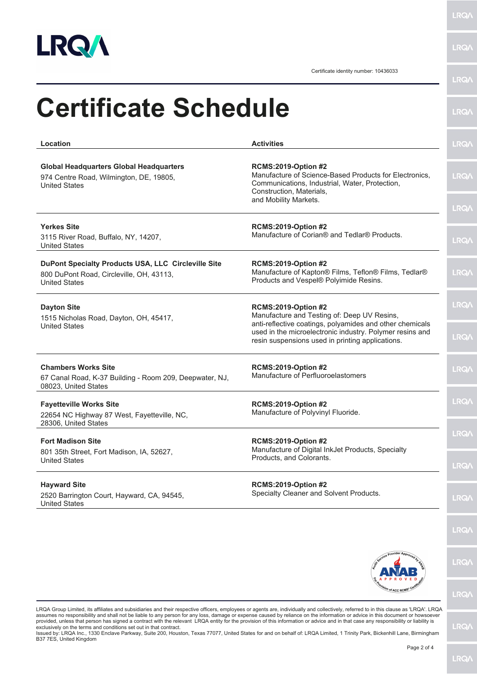

**LRQA** 

**LRQA** 

Certificate identity number: 10436033

| <b>Certificate Schedule</b>                                                                                             |                                                                                                                                                                    | <b>LRQA</b>  |
|-------------------------------------------------------------------------------------------------------------------------|--------------------------------------------------------------------------------------------------------------------------------------------------------------------|--------------|
| Location                                                                                                                | <b>Activities</b>                                                                                                                                                  | <b>LRQA</b>  |
| <b>Global Headquarters Global Headquarters</b><br>974 Centre Road, Wilmington, DE, 19805,<br><b>United States</b>       | <b>RCMS:2019-Option #2</b><br>Manufacture of Science-Based Products for Electronics,<br>Communications, Industrial, Water, Protection,<br>Construction, Materials, | <b>LRQA</b>  |
|                                                                                                                         | and Mobility Markets.                                                                                                                                              | <b>LRQA</b>  |
| <b>Yerkes Site</b><br>3115 River Road, Buffalo, NY, 14207,<br><b>United States</b>                                      | <b>RCMS:2019-Option #2</b><br>Manufacture of Corian® and Tedlar® Products.                                                                                         | <b>LRQA</b>  |
| DuPont Specialty Products USA, LLC Circleville Site<br>800 DuPont Road, Circleville, OH, 43113,<br><b>United States</b> | <b>RCMS:2019-Option #2</b><br>Manufacture of Kapton® Films, Teflon® Films, Tedlar®<br>Products and Vespel® Polyimide Resins.                                       | <b>LRQA</b>  |
| <b>Dayton Site</b><br>1515 Nicholas Road, Dayton, OH, 45417,<br><b>United States</b>                                    | <b>RCMS:2019-Option #2</b><br>Manufacture and Testing of: Deep UV Resins,<br>anti-reflective coatings, polyamides and other chemicals                              | <b>LRQA</b>  |
|                                                                                                                         | used in the microelectronic industry. Polymer resins and<br>resin suspensions used in printing applications.                                                       | <b>LRQA</b>  |
| <b>Chambers Works Site</b><br>67 Canal Road, K-37 Building - Room 209, Deepwater, NJ,<br>08023, United States           | <b>RCMS:2019-Option #2</b><br>Manufacture of Perfluoroelastomers                                                                                                   | <b>LRQA</b>  |
| <b>Fayetteville Works Site</b><br>22654 NC Highway 87 West, Fayetteville, NC,<br>28306, United States                   | <b>RCMS:2019-Option #2</b><br>Manufacture of Polyvinyl Fluoride.                                                                                                   | <b>LRQA</b>  |
| <b>Fort Madison Site</b><br>801 35th Street, Fort Madison, IA, 52627,                                                   | <b>RCMS:2019-Option #2</b><br>Manufacture of Digital InkJet Products, Specialty                                                                                    | <b>LRQ/</b>  |
| <b>United States</b>                                                                                                    | Products, and Colorants.                                                                                                                                           | <b>LRQA</b>  |
| <b>Hayward Site</b><br>2520 Barrington Court, Hayward, CA, 94545,<br><b>United States</b>                               | <b>RCMS:2019-Option #2</b><br>Specialty Cleaner and Solvent Products.                                                                                              | <b>LRQA</b>  |
|                                                                                                                         |                                                                                                                                                                    | <b>LRQ/\</b> |
|                                                                                                                         |                                                                                                                                                                    | <b>LRQA</b>  |
|                                                                                                                         | <sup>3h</sup> of ACC RCM <sup>S</sup>                                                                                                                              | <b>LRQA</b>  |

LRQA Group Limited, its affiliates and subsidiaries and their respective officers, employees or agents are, individually and collectively, referred to in this clause as 'LRQA'. LRQA assumes no responsibility and shall not be liable to any person for any loss, damage or expense caused by reliance on the information or advice in this document or howsoever<br>provided, unless that person has signed a contra

**LRQ/\**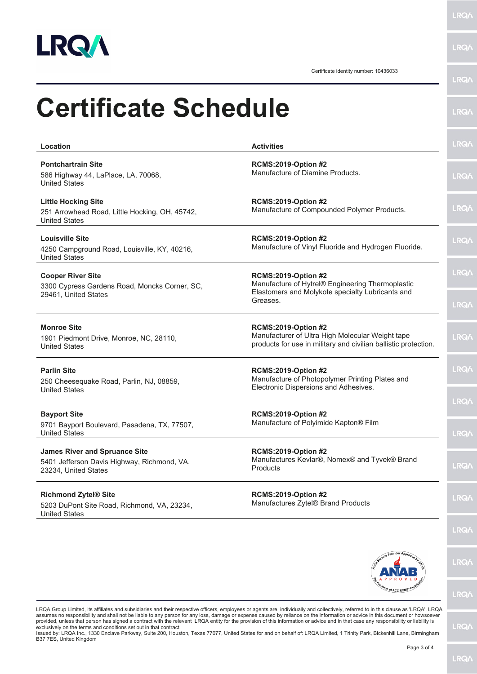

**LRQA** 

|                                                                                                             | Certificate identity number: 10436033                                                                                                             | <b>LRQA</b>  |
|-------------------------------------------------------------------------------------------------------------|---------------------------------------------------------------------------------------------------------------------------------------------------|--------------|
| <b>Certificate Schedule</b>                                                                                 |                                                                                                                                                   | <b>LRQ/</b>  |
| Location                                                                                                    | <b>Activities</b>                                                                                                                                 | <b>LRQ/</b>  |
| <b>Pontchartrain Site</b><br>586 Highway 44, LaPlace, LA, 70068,<br><b>United States</b>                    | <b>RCMS:2019-Option #2</b><br>Manufacture of Diamine Products.                                                                                    | <b>LRQA</b>  |
| <b>Little Hocking Site</b><br>251 Arrowhead Road, Little Hocking, OH, 45742,<br><b>United States</b>        | <b>RCMS:2019-Option #2</b><br>Manufacture of Compounded Polymer Products.                                                                         | <b>LRQA</b>  |
| <b>Louisville Site</b><br>4250 Campground Road, Louisville, KY, 40216,<br><b>United States</b>              | <b>RCMS:2019-Option #2</b><br>Manufacture of Vinyl Fluoride and Hydrogen Fluoride.                                                                | <b>LRQA</b>  |
| <b>Cooper River Site</b><br>3300 Cypress Gardens Road, Moncks Corner, SC,<br>29461, United States           | <b>RCMS:2019-Option #2</b><br>Manufacture of Hytrel® Engineering Thermoplastic                                                                    | <b>LRQA</b>  |
|                                                                                                             | Elastomers and Molykote specialty Lubricants and<br>Greases.                                                                                      | <b>LRQA</b>  |
| <b>Monroe Site</b><br>1901 Piedmont Drive, Monroe, NC, 28110,<br><b>United States</b>                       | <b>RCMS:2019-Option #2</b><br>Manufacturer of Ultra High Molecular Weight tape<br>products for use in military and civilian ballistic protection. | <b>LRQA</b>  |
| <b>Parlin Site</b><br>250 Cheesequake Road, Parlin, NJ, 08859,<br><b>United States</b>                      | <b>RCMS:2019-Option #2</b><br>Manufacture of Photopolymer Printing Plates and<br>Electronic Dispersions and Adhesives.                            | <b>LRQA</b>  |
| <b>Bayport Site</b>                                                                                         | <b>RCMS:2019-Option #2</b><br>Manufacture of Polyimide Kapton® Film                                                                               | <b>LRQA</b>  |
| 9701 Bayport Boulevard, Pasadena, TX, 77507,<br><b>United States</b>                                        |                                                                                                                                                   | <b>LRQ/</b>  |
| <b>James River and Spruance Site</b><br>5401 Jefferson Davis Highway, Richmond, VA,<br>23234, United States | <b>RCMS:2019-Option #2</b><br>Manufactures Kevlar®, Nomex® and Tyvek® Brand<br><b>Products</b>                                                    | <b>LRQ/</b>  |
| <b>Richmond Zytel® Site</b><br>5203 DuPont Site Road, Richmond, VA, 23234,<br><b>United States</b>          | <b>RCMS:2019-Option #2</b><br>Manufactures Zytel® Brand Products                                                                                  | <b>LRQ/</b>  |
|                                                                                                             |                                                                                                                                                   | <b>LRQA</b>  |
|                                                                                                             |                                                                                                                                                   | <b>LRQ/\</b> |
|                                                                                                             | <b>On of ACC RCMS</b>                                                                                                                             |              |

**LRQ/** 

LRQA Group Limited, its affiliates and subsidiaries and their respective officers, employees or agents are, individually and collectively, referred to in this clause as 'LRQA'. LRQA assumes no responsibility and shall not be liable to any person for any loss, damage or expense caused by reliance on the information or advice in this document or howsoever<br>provided, unless that person has signed a contra

Issued by: LRQA Inc., 1330 Enclave Parkway, Suite 200, Houston, Texas 77077, United States for and on behalf of: LRQA Limited, 1 Trinity Park, Bickenhill Lane, Birmingham<br>B37 7ES, United Kingdom

**LRQA**